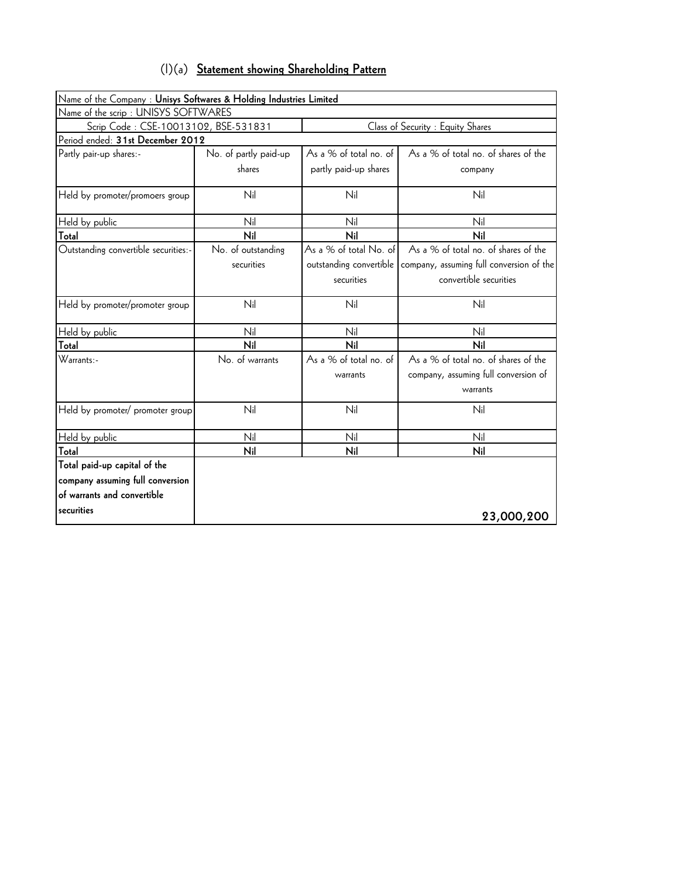|  |  |  |  | (I)(a) Statement showing Shareholding Pattern |  |
|--|--|--|--|-----------------------------------------------|--|
|--|--|--|--|-----------------------------------------------|--|

| Name of the Company : Unisys Softwares & Holding Industries Limited       |                       |                         |                                          |  |  |  |  |  |
|---------------------------------------------------------------------------|-----------------------|-------------------------|------------------------------------------|--|--|--|--|--|
| Name of the scrip: UNISYS SOFTWARES                                       |                       |                         |                                          |  |  |  |  |  |
| Scrip Code: CSE-10013102, BSE-531831<br>Class of Security : Equity Shares |                       |                         |                                          |  |  |  |  |  |
| Period ended: 31st December 2012                                          |                       |                         |                                          |  |  |  |  |  |
| Partly pair-up shares:-                                                   | No. of partly paid-up | As a % of total no. of  | As a % of total no. of shares of the     |  |  |  |  |  |
|                                                                           | shares                | partly paid-up shares   | company                                  |  |  |  |  |  |
| Held by promoter/promoers group                                           | Nil                   | Nil                     | Nil                                      |  |  |  |  |  |
| Held by public                                                            | Nil                   | Nil                     | Nil                                      |  |  |  |  |  |
| Total                                                                     | Nil                   | Nil                     | Nil                                      |  |  |  |  |  |
| Outstanding convertible securities:-                                      | No. of outstanding    | As a % of total No. of  | As a % of total no. of shares of the     |  |  |  |  |  |
|                                                                           | securities            | outstanding convertible | company, assuming full conversion of the |  |  |  |  |  |
|                                                                           |                       | securities              | convertible securities                   |  |  |  |  |  |
| Held by promoter/promoter group                                           | Nil                   | Nil                     | Nil                                      |  |  |  |  |  |
| Held by public                                                            | Nil                   | Nil                     | Nil                                      |  |  |  |  |  |
| Total                                                                     | Nil                   | Nil                     | Nil                                      |  |  |  |  |  |
| Warrants:-                                                                | No. of warrants       | As a % of total no. of  | As a % of total no. of shares of the     |  |  |  |  |  |
|                                                                           |                       | warrants                | company, assuming full conversion of     |  |  |  |  |  |
|                                                                           |                       |                         | warrants                                 |  |  |  |  |  |
| Held by promoter/ promoter group                                          | Nil                   | Nil                     | Nil                                      |  |  |  |  |  |
| Held by public                                                            | Nil                   | Nil                     | Nil                                      |  |  |  |  |  |
| Total                                                                     | Nil                   | Nil                     | Nil                                      |  |  |  |  |  |
| Total paid-up capital of the                                              |                       |                         |                                          |  |  |  |  |  |
| company assuming full conversion                                          |                       |                         |                                          |  |  |  |  |  |
| of warrants and convertible                                               |                       |                         |                                          |  |  |  |  |  |
| securities                                                                |                       |                         | 23,000,200                               |  |  |  |  |  |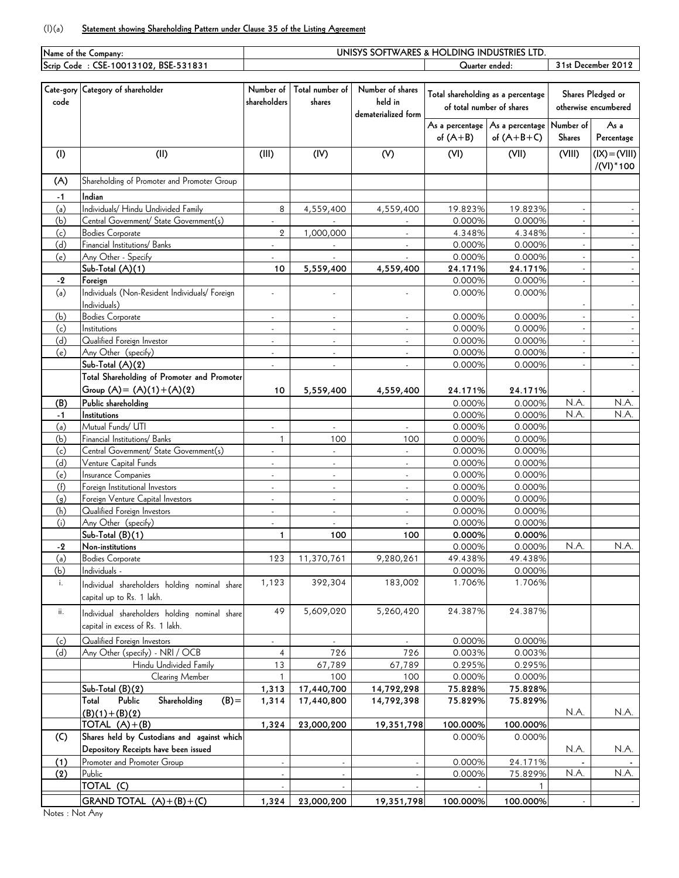## (I)(a) **Statement showing Shareholding Pattern under Clause 35 of the Listing Agreement**

| Name of the Company: |                                                                |                          |                          | UNISYS SOFTWARES & HOLDING INDUSTRIES LTD |                                    |                                 |                |                      |
|----------------------|----------------------------------------------------------------|--------------------------|--------------------------|-------------------------------------------|------------------------------------|---------------------------------|----------------|----------------------|
|                      | Scrip Code : CSE-10013102, BSE-531831                          |                          |                          |                                           | Quarter ended:                     |                                 |                | 31st December 2012   |
|                      |                                                                |                          |                          |                                           |                                    |                                 |                |                      |
|                      | Cate-gory Category of shareholder                              | Number of                | Total number of          | Number of shares                          | Total shareholding as a percentage |                                 |                | Shares Pledged or    |
| code                 |                                                                | shareholders             | shares                   | held in                                   | of total number of shares          |                                 |                | otherwise encumbered |
|                      |                                                                |                          |                          | dematerialized form                       |                                    |                                 |                |                      |
|                      |                                                                |                          |                          |                                           |                                    | As a percentage As a percentage | Number of      | As a                 |
|                      |                                                                |                          |                          |                                           | of $(A+B)$                         | of $(A+B+C)$                    | <b>Shares</b>  | Percentage           |
| (1)                  | (II)                                                           | (III)                    | (IV)                     | (V)                                       | (VI)                               | (VII)                           | (VIII)         | $(IX) = (VIII)$      |
|                      |                                                                |                          |                          |                                           |                                    |                                 |                | /(VI) * 100          |
|                      | Shareholding of Promoter and Promoter Group                    |                          |                          |                                           |                                    |                                 |                |                      |
| (A)                  |                                                                |                          |                          |                                           |                                    |                                 |                |                      |
| $-1$                 | Indian                                                         |                          |                          |                                           |                                    |                                 |                |                      |
| (a)                  | Individuals/ Hindu Undivided Family                            | 8                        | 4,559,400                | 4,559,400                                 | 19.823%                            | 19.823%                         |                |                      |
| (b)                  | Central Government/ State Government(s)                        |                          |                          |                                           | 0.000%                             | 0.000%                          |                |                      |
| (c)                  | <b>Bodies Corporate</b>                                        | $\overline{2}$           | 1,000,000                |                                           | 4.348%                             | 4.348%                          | $\sim$         |                      |
| (d)                  | Financial Institutions/ Banks                                  | L.                       |                          |                                           | 0.000%                             | 0.000%                          |                |                      |
| (e)                  | Any Other - Specify                                            |                          |                          |                                           | 0.000%                             | 0.000%                          |                |                      |
|                      | Sub-Total (A)(1)                                               | 10                       | 5,559,400                | 4,559,400                                 | 24.171%                            | 24.171%                         | $\mathcal{L}$  |                      |
| -2                   | Foreign                                                        |                          |                          |                                           | 0.000%                             | 0.000%                          |                |                      |
| (a)                  | Individuals (Non-Resident Individuals/ Foreign                 | $\overline{a}$           | ÷.                       |                                           | 0.000%                             | 0.000%                          |                |                      |
|                      | Individuals)                                                   |                          |                          |                                           |                                    |                                 |                |                      |
| (b)                  | <b>Bodies Corporate</b>                                        |                          |                          |                                           | 0.000%                             | 0.000%                          |                |                      |
| (c)                  | Institutions                                                   | $\blacksquare$           | ÷,                       | $\overline{a}$                            | 0.000%                             | 0.000%                          | $\overline{a}$ |                      |
| (d)                  | Qualified Foreign Investor                                     | $\blacksquare$           | $\overline{\phantom{a}}$ | $\mathbf{r}$                              | 0.000%                             | 0.000%                          |                |                      |
| (e)                  | Any Other (specify)                                            | $\overline{\phantom{a}}$ |                          |                                           | 0.000%                             | 0.000%                          |                |                      |
|                      | Sub-Total (A)(2)                                               | ÷,                       | ÷,                       |                                           | 0.000%                             | 0.000%                          |                |                      |
|                      | Total Shareholding of Promoter and Promoter                    |                          |                          |                                           |                                    |                                 |                |                      |
|                      | Group $(A) = (A)(1) + (A)(2)$                                  | 10                       | 5,559,400                | 4,559,400                                 | 24.171%                            | 24.171%                         |                |                      |
| (B)                  | Public shareholding                                            |                          |                          |                                           | 0.000%                             | 0.000%                          | N.A.           | N.A.                 |
| $-1$                 | Institutions                                                   |                          |                          |                                           | 0.000%                             | 0.000%                          | N.A.           | N.A.                 |
| (a)                  | Mutual Funds/ UTI                                              | $\blacksquare$           | $\blacksquare$           |                                           | 0.000%                             | 0.000%                          |                |                      |
| (b)                  | Financial Institutions/ Banks                                  | $\mathbf{1}$             | 100                      | 100                                       | 0.000%                             | 0.000%                          |                |                      |
| (c)                  | Central Government/ State Government(s)                        |                          | $\overline{\phantom{a}}$ |                                           | 0.000%                             | 0.000%                          |                |                      |
| (d)                  | Venture Capital Funds                                          |                          |                          |                                           | 0.000%                             | 0.000%                          |                |                      |
| (e)                  | Insurance Companies                                            | $\blacksquare$           | $\Box$                   | ÷.                                        | 0.000%                             | 0.000%                          |                |                      |
| (f)                  | Foreign Institutional Investors                                | $\blacksquare$           | $\overline{\phantom{a}}$ | $\mathbf{r}$                              | 0.000%                             | 0.000%                          |                |                      |
| (g)                  | Foreign Venture Capital Investors                              | $\overline{\phantom{a}}$ | $\overline{a}$           | ÷,                                        | 0.000%                             | 0.000%                          |                |                      |
| (h)                  | Qualified Foreign Investors                                    | $\blacksquare$           | $\overline{\phantom{a}}$ | ä,                                        | 0.000%                             | 0.000%                          |                |                      |
| (i)                  | Any Other (specify)                                            |                          |                          |                                           | 0.000%                             | 0.000%                          |                |                      |
|                      | $Sub-Total (B)(1)$                                             | $\mathbf{1}$             | 100                      | 100                                       | 0.000%                             | 0.000%                          |                |                      |
| $-2$                 | Non-institutions                                               |                          |                          |                                           | 0.000%                             | 0.000%                          | N.A.           | N.A.                 |
| (a)                  | <b>Bodies Corporate</b>                                        | 123                      | 11,370,761               | 9,280,261                                 | 49.438%                            | 49.438%                         |                |                      |
| (b)                  | Individuals -                                                  |                          |                          |                                           | 0.000%                             | 0.000%                          |                |                      |
| i.                   | Individual shareholders holding nominal share                  | 1,123                    | 392,304                  | 183,002                                   | 1.706%                             | 1.706%                          |                |                      |
|                      | capital up to Rs. 1 lakh.                                      |                          |                          |                                           |                                    |                                 |                |                      |
| ii.                  | Individual shareholders holding nominal share                  | 49                       | 5,609,020                | 5,260,420                                 | 24.387%                            | 24.387%                         |                |                      |
|                      | capital in excess of Rs. 1 lakh.                               |                          |                          |                                           |                                    |                                 |                |                      |
|                      |                                                                |                          |                          |                                           |                                    |                                 |                |                      |
| (c)                  | Qualified Foreign Investors                                    | $\blacksquare$           | $\omega$                 | $\overline{a}$                            | 0.000%                             | 0.000%                          |                |                      |
| (d)                  | Any Other (specify) - NRI / OCB                                | 4                        | 726                      | 726                                       | 0.003%                             | 0.003%                          |                |                      |
|                      | Hindu Undivided Family                                         | 13                       | 67,789                   | 67,789                                    | 0.295%                             | 0.295%                          |                |                      |
|                      | Clearing Member                                                | $\mathbf{1}$             | 100                      | 100                                       | 0.000%                             | 0.000%                          |                |                      |
|                      | Sub-Total (B)(2)<br>Total<br>Public<br>Shareholding<br>$(B) =$ | 1,313                    | 17,440,700<br>17,440,800 | 14,792,298<br>14,792,398                  | 75.828%<br>75.829%                 | 75.828%<br>75.829%              |                |                      |
|                      |                                                                | 1,314                    |                          |                                           |                                    |                                 | N.A.           | N.A.                 |
|                      | $(B)(1)+(B)(2)$<br>TOTAL $(A)+(B)$                             | 1,324                    | 23,000,200               |                                           | 100.000%                           | 100.000%                        |                |                      |
| (C)                  | Shares held by Custodians and against which                    |                          |                          | 19,351,798                                | 0.000%                             | 0.000%                          |                |                      |
|                      | Depository Receipts have been issued                           |                          |                          |                                           |                                    |                                 |                |                      |
|                      |                                                                |                          |                          |                                           |                                    |                                 | N.A.           | N.A.                 |
| (1)                  | Promoter and Promoter Group<br>Public                          |                          |                          |                                           | 0.000%                             | 24.171%                         | N.A.           | N.A.                 |
| (2)                  |                                                                | $\blacksquare$           | $\blacksquare$           | $\omega$                                  | 0.000%                             | 75.829%                         |                |                      |
|                      | TOTAL (C)                                                      |                          |                          |                                           |                                    | 1                               |                |                      |
|                      | GRAND TOTAL $(A)+(B)+(C)$                                      | 1,324                    | 23,000,200               | 19,351,798                                | 100.000%                           | 100.000%                        |                |                      |

Notes : Not Any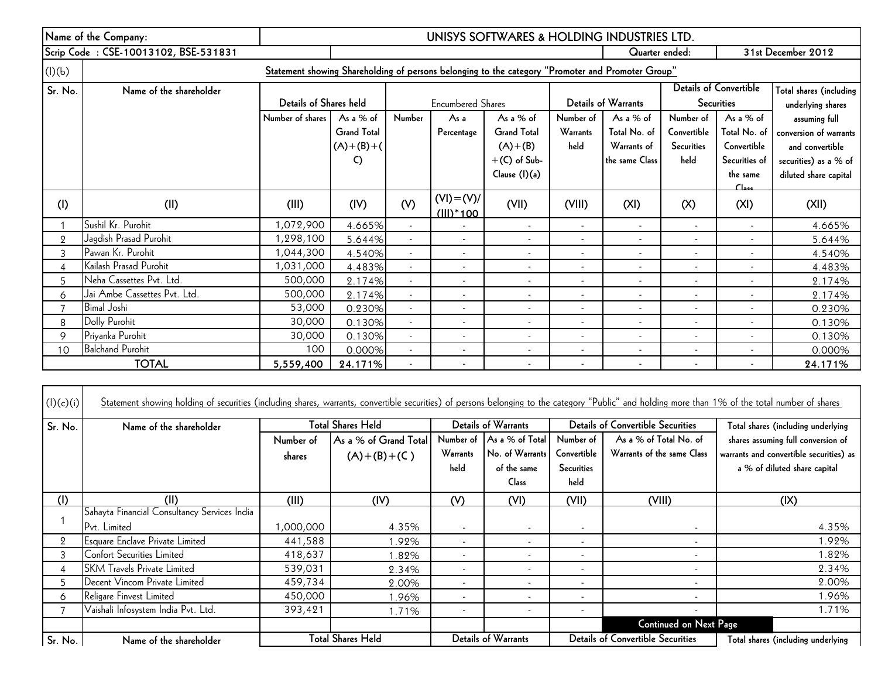|                | Name of the Company:                 | UNISYS SOFTWARES & HOLDING INDUSTRIES LTD. |                    |                |                                |                                                                                                   |                          |                            |                              |                               |                         |
|----------------|--------------------------------------|--------------------------------------------|--------------------|----------------|--------------------------------|---------------------------------------------------------------------------------------------------|--------------------------|----------------------------|------------------------------|-------------------------------|-------------------------|
|                | Scrip Code: CSE-10013102, BSE-531831 | Quarter ended:                             |                    |                |                                |                                                                                                   | 31st December 2012       |                            |                              |                               |                         |
| (I)(b)         |                                      |                                            |                    |                |                                | Statement showing Shareholding of persons belonging to the category "Promoter and Promoter Group" |                          |                            |                              |                               |                         |
| Sr. No.        | Name of the shareholder              |                                            |                    |                |                                |                                                                                                   |                          |                            |                              | <b>Details of Convertible</b> | Total shares (including |
|                |                                      | Details of Shares held                     |                    |                | <b>Encumbered Shares</b>       |                                                                                                   |                          | <b>Details of Warrants</b> |                              | <b>Securities</b>             | underlying shares       |
|                |                                      | Number of shares                           | As a % of          | Number         | As a                           | As a % of                                                                                         | Number of                | As a $%$ of                | Number of                    | As a $%$ of                   | assuming full           |
|                |                                      |                                            | <b>Grand Total</b> |                | Percentage                     | <b>Grand Total</b>                                                                                | Warrants                 | Total No. of               | Convertible                  | Total No. of                  | conversion of warrants  |
|                |                                      |                                            | $(A)+(B)+(C)$      |                |                                | $(A)+(B)$                                                                                         | held                     | Warrants of                | <b>Securities</b>            | Convertible                   | and convertible         |
|                |                                      |                                            | C)                 |                |                                | $+(C)$ of Sub-                                                                                    |                          | the same Class             | held                         | Securities of                 | securities) as a % of   |
|                |                                      |                                            |                    |                |                                | Clause (I)(a)                                                                                     |                          |                            |                              | the same<br>C <sub>here</sub> | diluted share capital   |
| (1)            | (II)                                 | (III)                                      | (IV)               | (V)            | $(VI) = (V)/$<br>$(III)^*$ 100 | (VII)                                                                                             | (VIII)                   | (XI)                       | (X)                          | (XI)                          | (X  )                   |
|                | Sushil Kr. Purohit                   | 1,072,900                                  | 4.665%             | $\sim$         |                                | $\blacksquare$                                                                                    | $\overline{\phantom{a}}$ | $\sim$                     | $\overline{\phantom{a}}$     | $\sim$                        | 4.665%                  |
| $\overline{2}$ | Jagdish Prasad Purohit               | 1,298,100                                  | 5.644%             | $\sim$         | $\sim$                         | $\blacksquare$                                                                                    |                          | $\overline{\phantom{a}}$   | ۰                            |                               | 5.644%                  |
| 3              | Pawan Kr. Purohit                    | 1,044,300                                  | 4.540%             | $\blacksquare$ | $\blacksquare$                 | $\blacksquare$                                                                                    |                          |                            | ٠                            |                               | 4.540%                  |
| 4              | Kailash Prasad Purohit               | 1,031,000                                  | 4.483%             | ۰              | $\overline{\phantom{a}}$       | $\blacksquare$                                                                                    |                          |                            | ٠                            |                               | 4.483%                  |
| 5              | Neha Cassettes Pvt. Ltd.             | 500,000                                    | 2.174%             | $\sim$         | $\overline{\phantom{a}}$       | $\blacksquare$                                                                                    | $\overline{\phantom{a}}$ | $\overline{\phantom{a}}$   | ٠                            | $\overline{\phantom{a}}$      | 2.174%                  |
| 6              | Jai Ambe Cassettes Pvt. Ltd.         | 500,000                                    | 2.174%             | ٠              | $\overline{\phantom{a}}$       | $\blacksquare$                                                                                    |                          |                            | ٠                            |                               | 2.174%                  |
|                | <b>Bimal Joshi</b>                   | 53,000                                     | 0.230%             | $\sim$         | $\overline{\phantom{a}}$       | $\overline{\phantom{a}}$                                                                          |                          | $\overline{\phantom{a}}$   | ٠                            | $\overline{\phantom{a}}$      | 0.230%                  |
| 8              | Dolly Purohit                        | 30,000                                     | 0.130%             | ٠              | $\overline{\phantom{a}}$       | $\overline{\phantom{a}}$                                                                          |                          |                            |                              |                               | 0.130%                  |
| 9              | Priyanka Purohit                     | 30,000                                     | 0.130%             | ٠              | $\overline{\phantom{a}}$       | $\blacksquare$                                                                                    |                          |                            |                              |                               | 0.130%                  |
| 10             | <b>Balchand Purohit</b>              | 100                                        | 0.000%             |                | $\overline{\phantom{a}}$       | $\overline{\phantom{a}}$                                                                          |                          |                            | $\qquad \qquad \blacksquare$ |                               | 0.000%                  |
|                | <b>TOTAL</b>                         | 5,559,400                                  | 24.171%            |                |                                | $\blacksquare$                                                                                    |                          |                            | $\overline{\phantom{a}}$     |                               | 24.171%                 |

| (l)(c)(i)      | Statement showing holding of securities (including shares, warrants, convertible securities) of persons belonging to the category "Public" and holding more than 1% of the total number of shares |                     |                                        |                          |                                                                             |                                                       |                                                      |                                                                                                               |
|----------------|---------------------------------------------------------------------------------------------------------------------------------------------------------------------------------------------------|---------------------|----------------------------------------|--------------------------|-----------------------------------------------------------------------------|-------------------------------------------------------|------------------------------------------------------|---------------------------------------------------------------------------------------------------------------|
| Sr. No.        | Name of the shareholder                                                                                                                                                                           |                     | Total Shares Held                      |                          | Details of Warrants                                                         |                                                       | <b>Details of Convertible Securities</b>             | Total shares (including underlying                                                                            |
|                |                                                                                                                                                                                                   | Number of<br>shares | As a % of Grand Total<br>$(A)+(B)+(C)$ | Warrants<br>held         | Number of As a % of Total<br>No. of Warrants<br>of the same<br><b>Class</b> | Number of<br>Convertible<br><b>Securities</b><br>held | As a % of Total No. of<br>Warrants of the same Class | shares assuming full conversion of<br>warrants and convertible securities) as<br>a % of diluted share capital |
| (1)            | (II)                                                                                                                                                                                              | (III)               | (IV)                                   | (V)                      | (VI)                                                                        | (VII)                                                 | (VIII)                                               | (IX)                                                                                                          |
|                | Sahayta Financial Consultancy Services India<br>Pvt. Limited                                                                                                                                      | 000,000,            | 4.35%                                  |                          |                                                                             | $\sim$                                                | $\sim$                                               | 4.35%                                                                                                         |
| $\overline{2}$ | Esquare Enclave Private Limited                                                                                                                                                                   | 441,588             | .92%                                   |                          |                                                                             | $\overline{\phantom{a}}$                              | $\sim$                                               | 1.92%                                                                                                         |
| 3              | Confort Securities Limited                                                                                                                                                                        | 418,637             | .82%                                   |                          |                                                                             | $\overline{\phantom{a}}$                              | $\sim$                                               | 1.82%                                                                                                         |
| 4              | <b>SKM Travels Private Limited</b>                                                                                                                                                                | 539,031             | 2.34%                                  |                          |                                                                             | $\overline{\phantom{a}}$                              | $\sim$                                               | 2.34%                                                                                                         |
| 5.             | Decent Vincom Private Limited                                                                                                                                                                     | 459,734             | 2.00%                                  |                          |                                                                             | $\overline{\phantom{a}}$                              | $\sim$                                               | 2.00%                                                                                                         |
| 6              | Religare Finvest Limited                                                                                                                                                                          | 450,000             | .96%                                   |                          |                                                                             | $\overline{\phantom{a}}$                              | $\sim$                                               | 1.96%                                                                                                         |
|                | Vaishali Infosystem India Pvt. Ltd.                                                                                                                                                               | 393,421             | 1.71%                                  | $\overline{\phantom{a}}$ |                                                                             | $\sim$                                                | $\sim$                                               | 1.71%                                                                                                         |
|                |                                                                                                                                                                                                   |                     |                                        |                          |                                                                             |                                                       | <b>Continued on Next Page</b>                        |                                                                                                               |
| Sr. No.        | Name of the shareholder                                                                                                                                                                           |                     | <b>Total Shares Held</b>               |                          | Details of Warrants                                                         |                                                       | <b>Details of Convertible Securities</b>             | Total shares (including underlying                                                                            |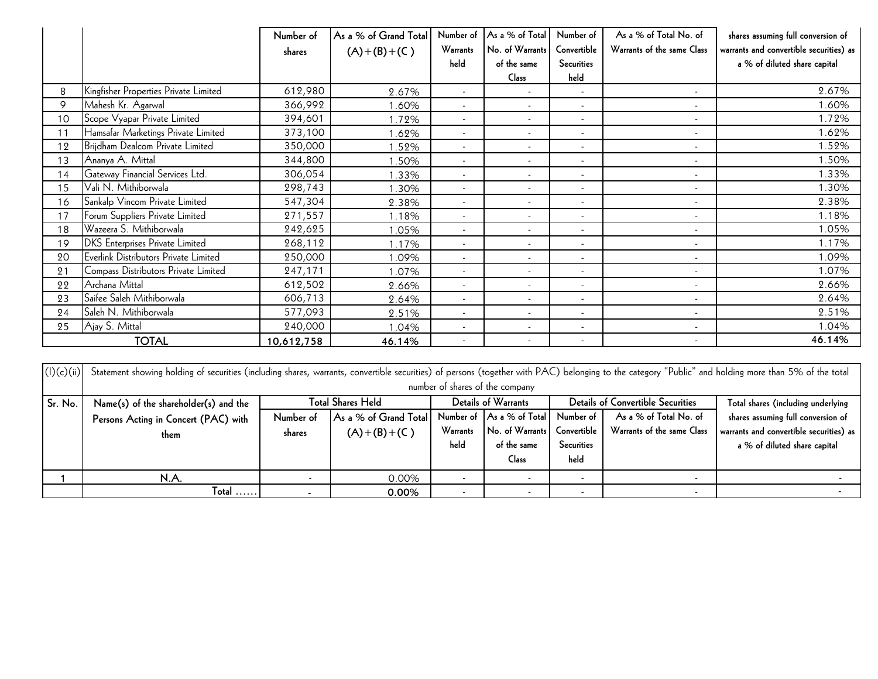|            |                                                                                                                                                                                                      | Number of  | As a % of Grand Total    | Number of       | As a % of Tota                  | Number of                | As a % of Total No. of                   | shares assuming full conversion of      |
|------------|------------------------------------------------------------------------------------------------------------------------------------------------------------------------------------------------------|------------|--------------------------|-----------------|---------------------------------|--------------------------|------------------------------------------|-----------------------------------------|
|            |                                                                                                                                                                                                      | shares     | $(A)+(B)+(C)$            | <b>Warrants</b> | No. of Warrants                 | Convertible              | Warrants of the same Class               | warrants and convertible securities) as |
|            |                                                                                                                                                                                                      |            |                          | held            | of the same                     | <b>Securities</b>        |                                          | a % of diluted share capital            |
|            |                                                                                                                                                                                                      |            |                          |                 | Class                           | held                     |                                          |                                         |
| 8          | Kingfisher Properties Private Limited                                                                                                                                                                | 612,980    | 2.67%                    | $\blacksquare$  |                                 |                          | $\blacksquare$                           | 2.67%                                   |
| 9          | Mahesh Kr. Agarwal                                                                                                                                                                                   | 366,992    | 1.60%                    | $\blacksquare$  | $\blacksquare$                  | $\blacksquare$           | $\sim$                                   | 1.60%                                   |
| 10         | Scope Vyapar Private Limited                                                                                                                                                                         | 394,601    | 1.72%                    |                 |                                 | $\sim$                   | $\mathbf{r}$                             | 1.72%                                   |
| 11         | Hamsafar Marketings Private Limited                                                                                                                                                                  | 373,100    | 1.62%                    | $\sim$          |                                 | $\sim$                   | $\overline{\phantom{a}}$                 | 1.62%                                   |
| 12         | Brijdham Dealcom Private Limited                                                                                                                                                                     | 350,000    | 1.52%                    |                 |                                 |                          |                                          | 1.52%                                   |
| 13         | Ananya A. Mittal                                                                                                                                                                                     | 344,800    | 1.50%                    | $\sim$          | $\sim$                          | $\sim$                   | $\sim$                                   | 1.50%                                   |
| 14         | Gateway Financial Services Ltd.                                                                                                                                                                      | 306,054    | 1.33%                    | $\sim$          | $\sim$                          | $\sim$                   | $\sim$                                   | 1.33%                                   |
| 15         | Vali N. Mithiborwala                                                                                                                                                                                 | 298,743    | 1.30%                    |                 |                                 | $\sim$                   | $\mathbf{r}$                             | 1.30%                                   |
| 16         | Sankalp Vincom Private Limited                                                                                                                                                                       | 547,304    | 2.38%                    |                 |                                 | $\overline{\phantom{a}}$ | $\overline{\phantom{a}}$                 | 2.38%                                   |
| 17         | Forum Suppliers Private Limited                                                                                                                                                                      | 271,557    | 1.18%                    | $\sim$          | $\sim$                          | $\sim$                   | $\sim$                                   | 1.18%                                   |
| 18         | Wazeera S. Mithiborwala                                                                                                                                                                              | 242,625    | 1.05%                    | $\blacksquare$  | $\sim$                          | $\blacksquare$           | $\overline{\phantom{a}}$                 | 1.05%                                   |
| 19         | <b>DKS</b> Enterprises Private Limited                                                                                                                                                               | 268,112    | 1.17%                    | $\sim$          | $\sim$                          | $\sim$                   | $\mathbf{r}$                             | 1.17%                                   |
| 20         | Everlink Distributors Private Limited                                                                                                                                                                | 250,000    | 1.09%                    |                 |                                 |                          |                                          | 1.09%                                   |
| 21         | Compass Distributors Private Limited                                                                                                                                                                 | 247,171    | 1.07%                    | $\sim$          | $\sim$                          | $\sim$                   | $\sim$                                   | 1.07%                                   |
| 22         | Archana Mittal                                                                                                                                                                                       | 612,502    | 2.66%                    | $\sim$          |                                 | $\blacksquare$           | $\overline{\phantom{a}}$                 | 2.66%                                   |
| 23         | Saifee Saleh Mithiborwala                                                                                                                                                                            | 606,713    | 2.64%                    |                 |                                 | $\sim$                   |                                          | 2.64%                                   |
| 24         | Saleh N. Mithiborwala                                                                                                                                                                                | 577,093    | 2.51%                    |                 |                                 | $\blacksquare$           |                                          | 2.51%                                   |
| 25         | Ajay S. Mittal                                                                                                                                                                                       | 240,000    | 1.04%                    | $\sim$          | $\overline{\phantom{a}}$        | $\overline{\phantom{a}}$ | $\sim$                                   | 1.04%                                   |
|            | <b>TOTAL</b>                                                                                                                                                                                         | 10,612,758 | 46.14%                   | $\sim$          | $\sim$                          | $\blacksquare$           | $\blacksquare$                           | 46.14%                                  |
|            |                                                                                                                                                                                                      |            |                          |                 |                                 |                          |                                          |                                         |
| (l)(c)(ii) | Statement showing holding of securities (including shares, warrants, convertible securities) of persons (together with PAC) belonging to the category "Public" and holding more than 5% of the total |            |                          |                 |                                 |                          |                                          |                                         |
|            |                                                                                                                                                                                                      |            |                          |                 | number of shares of the company |                          |                                          |                                         |
| Sr. No.    | Name(s) of the shareholder(s) and the                                                                                                                                                                |            | <b>Total Shares Held</b> |                 | <b>Details of Warrants</b>      |                          | <b>Details of Convertible Securities</b> | Total shares (including underlying      |
|            | Persons Acting in Concert (PAC) with                                                                                                                                                                 | Number of  | As a % of Grand Total    |                 | Number of As a % of Total       | Number of                | As a % of Total No. of                   | shares assuming full conversion of      |
|            | them                                                                                                                                                                                                 | shares     | $(A)+(B)+(C)$            | Warrants        | No. of Warrants                 | Convertible              | Warrants of the same Class               | warrants and convertible securities) as |
|            |                                                                                                                                                                                                      |            |                          | held            | of the same                     | <b>Securities</b>        |                                          | a % of diluted share capital            |
|            |                                                                                                                                                                                                      |            |                          |                 | Class                           | held                     |                                          |                                         |
| 1          | N.A.                                                                                                                                                                                                 | $\sim$     | 0.00%                    | $\sim$          | $\sim$                          | $\sim$                   | $\blacksquare$                           | $\sim$                                  |
|            | $Total$                                                                                                                                                                                              |            | 0.00%                    |                 |                                 |                          |                                          |                                         |

|            | TOTAL                                                                                                                                                                                                | 10,612,758          | 46.14%                                                      |                          |                                                                                                    |                                                |                                                                                                  | 46.14%                                                                                                                                              |
|------------|------------------------------------------------------------------------------------------------------------------------------------------------------------------------------------------------------|---------------------|-------------------------------------------------------------|--------------------------|----------------------------------------------------------------------------------------------------|------------------------------------------------|--------------------------------------------------------------------------------------------------|-----------------------------------------------------------------------------------------------------------------------------------------------------|
| (l)(c)(ii) | Statement showing holding of securities (including shares, warrants, convertible securities) of persons (together with PAC) belonging to the category "Public" and holding more than 5% of the total |                     |                                                             |                          | number of shares of the company                                                                    |                                                |                                                                                                  |                                                                                                                                                     |
| Sr. No.    | Name(s) of the shareholder(s) and the<br>Persons Acting in Concert (PAC) with<br>them                                                                                                                | Number of<br>shares | Total Shares Held<br>As a % of Grand Total<br>$(A)+(B)+(C)$ | Warrants<br>held         | Details of Warrants<br>Number of As a % of Total<br>No. of Warrants<br>of the same<br><b>Class</b> | Number of<br>Convertible<br>Securities<br>held | <b>Details of Convertible Securities</b><br>As a % of Total No. of<br>Warrants of the same Class | Total shares (including underlying<br>shares assuming full conversion of<br>warrants and convertible securities) as<br>a % of diluted share capital |
|            | N.A.                                                                                                                                                                                                 | $\sim$              | 0.00%                                                       | $\overline{\phantom{a}}$ | $\sim$                                                                                             | $\sim$                                         |                                                                                                  |                                                                                                                                                     |
|            | $Total$                                                                                                                                                                                              |                     | 0.00%                                                       | $\sim$                   |                                                                                                    | ۰                                              | $\overline{\phantom{a}}$                                                                         |                                                                                                                                                     |